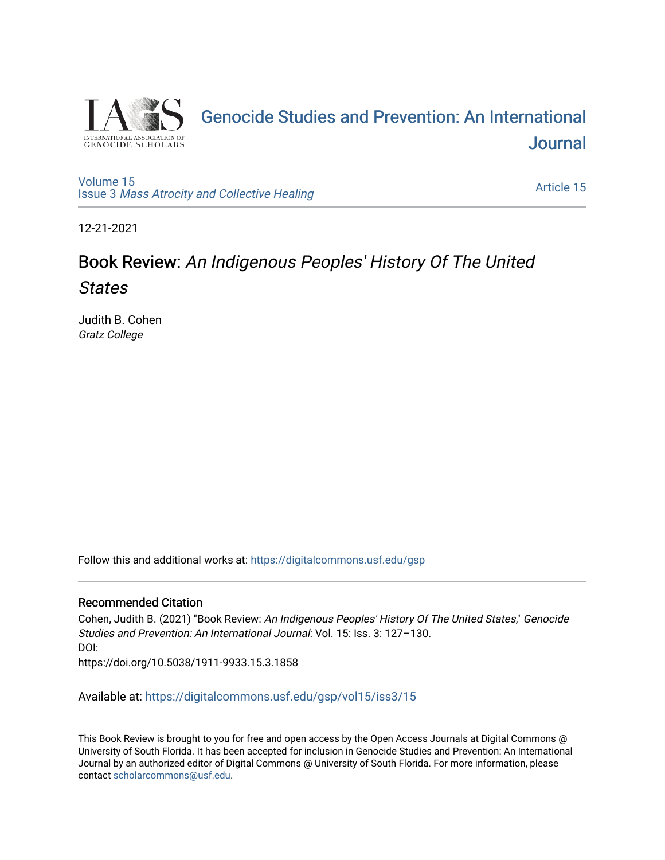

## [Genocide Studies and Prevention: An International](https://digitalcommons.usf.edu/gsp)  **Journal**

[Volume 15](https://digitalcommons.usf.edu/gsp/vol15) Issue 3 [Mass Atrocity and Collective Healing](https://digitalcommons.usf.edu/gsp/vol15/iss3) 

[Article 15](https://digitalcommons.usf.edu/gsp/vol15/iss3/15) 

12-21-2021

## Book Review: An Indigenous Peoples' History Of The United States

Judith B. Cohen Gratz College

Follow this and additional works at: [https://digitalcommons.usf.edu/gsp](https://digitalcommons.usf.edu/gsp?utm_source=digitalcommons.usf.edu%2Fgsp%2Fvol15%2Fiss3%2F15&utm_medium=PDF&utm_campaign=PDFCoverPages) 

## Recommended Citation

Cohen, Judith B. (2021) "Book Review: An Indigenous Peoples' History Of The United States," Genocide Studies and Prevention: An International Journal: Vol. 15: Iss. 3: 127–130. DOI: https://doi.org/10.5038/1911-9933.15.3.1858

Available at: [https://digitalcommons.usf.edu/gsp/vol15/iss3/15](https://digitalcommons.usf.edu/gsp/vol15/iss3/15?utm_source=digitalcommons.usf.edu%2Fgsp%2Fvol15%2Fiss3%2F15&utm_medium=PDF&utm_campaign=PDFCoverPages)

This Book Review is brought to you for free and open access by the Open Access Journals at Digital Commons @ University of South Florida. It has been accepted for inclusion in Genocide Studies and Prevention: An International Journal by an authorized editor of Digital Commons @ University of South Florida. For more information, please contact [scholarcommons@usf.edu](mailto:scholarcommons@usf.edu).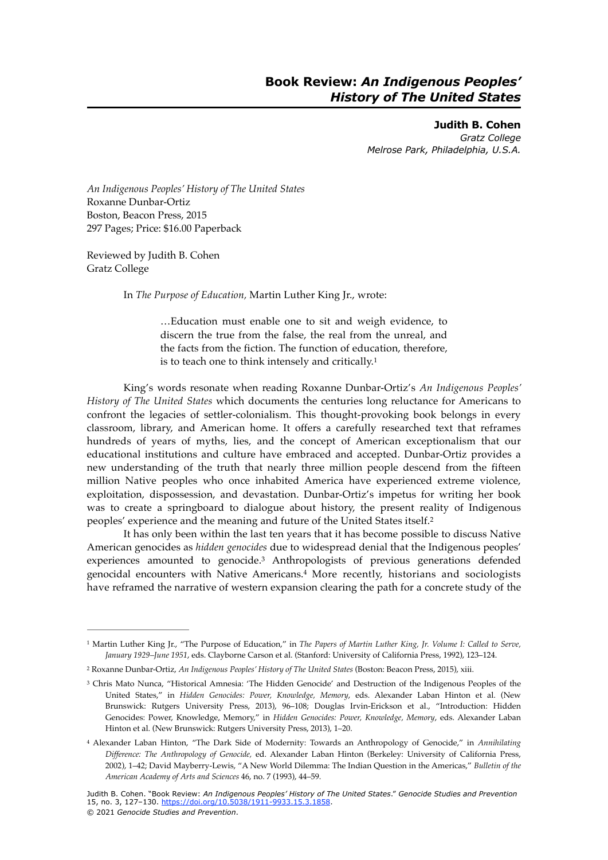**Judith B. Cohen** *Gratz College Melrose Park, Philadelphia, U.S.A.*

*An Indigenous Peoples' History of The United States* Roxanne Dunbar-Ortiz Boston, Beacon Press, 2015 297 Pages; Price: \$16.00 Paperback

Reviewed by Judith B. Cohen Gratz College

In *The Purpose of Education,* Martin Luther King Jr., wrote:

<span id="page-1-5"></span><span id="page-1-4"></span>…Education must enable one to sit and weigh evidence, to discern the true from the false, the real from the unreal, and the facts from the fiction. The function of education, therefore, is to teach one to think intensely and critically.[1](#page-1-0)

King's words resonate when reading Roxanne Dunbar-Ortiz's *An Indigenous Peoples' History of The United States* which documents the centuries long reluctance for Americans to confront the legacies of settler-colonialism. This thought-provoking book belongs in every classroom, library, and American home. It offers a carefully researched text that reframes hundreds of years of myths, lies, and the concept of American exceptionalism that our educational institutions and culture have embraced and accepted. Dunbar-Ortiz provides a new understanding of the truth that nearly three million people descend from the fifteen million Native peoples who once inhabited America have experienced extreme violence, exploitation, dispossession, and devastation. Dunbar-Ortiz's impetus for writing her book was to create a springboard to dialogue about history, the present reality of Indigenous peoples' experience and the meaning and future of the United States itself[.2](#page-1-1)

<span id="page-1-7"></span><span id="page-1-6"></span>It has only been within the last ten years that it has become possible to discuss Native American genocides as *hidden genocides* due to widespread denial that the Indigenous peoples' experiences amounted to genocide[.](#page-1-2)<sup>[3](#page-1-2)</sup> Anthropologists of previous generations defended genocidal encounters with Native Americans.<sup>[4](#page-1-3)</sup> More recently, historians and sociologists have reframed the narrative of western expansion clearing the path for a concrete study of the

<span id="page-1-0"></span><sup>&</sup>lt;sup>[1](#page-1-4)</sup> Martin Luther King Jr., "The Purpose of Education," in *The Papers of Martin Luther King, Jr. Volume I: Called to Serve, January 1929–June 1951*, eds. Clayborne Carson et al. (Stanford: University of California Press, 1992), 123–124.

<span id="page-1-1"></span>Roxanne Dunbar-Ortiz, *An Indigenous Peoples' History of The United States* (Boston: Beacon Press, 2015), xiii. [2](#page-1-5)

<span id="page-1-2"></span><sup>&</sup>lt;sup>3</sup>Chris Mato Nunca, "Historical Amnesia: 'The Hidden Genocide' and Destruction of the Indigenous Peoples of the United States," in *Hidden Genocides: Power, Knowledge, Memory*, eds. Alexander Laban Hinton et al. (New Brunswick: Rutgers University Press, 2013), 96–108; Douglas Irvin-Erickson et al., "Introduction: Hidden Genocides: Power, Knowledge, Memory," in *Hidden Genocides: Power, Knowledge, Memory*, eds. Alexander Laban Hinton et al. (New Brunswick: Rutgers University Press, 2013), 1–20.

<span id="page-1-3"></span>Alexander Laban Hinton, "The Dark Side of Modernity: Towards an Anthropology of Genocide," in *Annihilating* [4](#page-1-7) *Difference: The Anthropology of Genocide,* ed. Alexander Laban Hinton (Berkeley: University of California Press, 2002), 1–42; David Mayberry-Lewis, "A New World Dilemma: The Indian Question in the Americas," *Bulletin of the American Academy of Arts and Sciences* 46, no. 7 (1993), 44–59.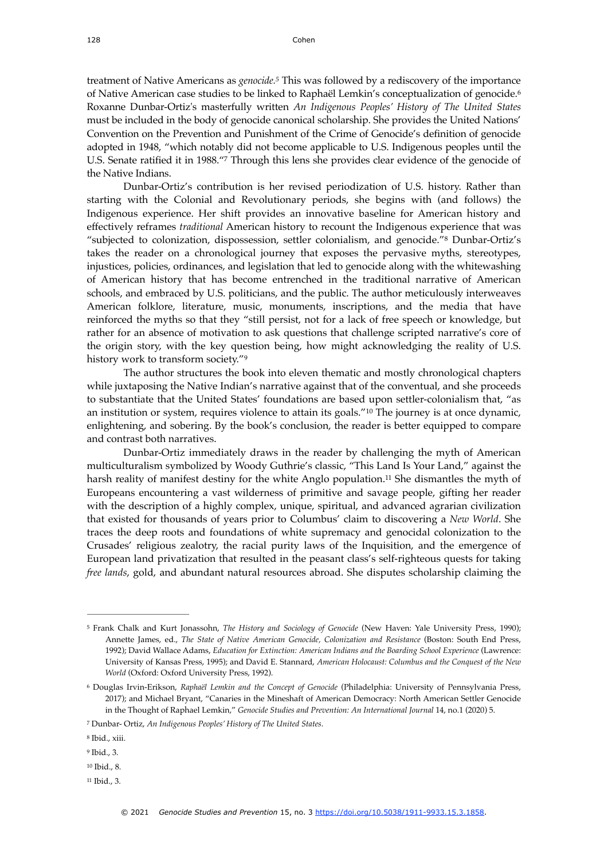<span id="page-2-8"></span><span id="page-2-7"></span>treatment of Native Americans as *genocide.*<sup>[5](#page-2-0)</sup> This was followed by a rediscovery of the importance of Native American case studies to be linked to Raphaël Lemkin's conceptualization of genocide.[6](#page-2-1) Roxanne Dunbar-Ortiz's masterfully written *An Indigenous Peoples' History of The United States*  must be included in the body of genocide canonical scholarship. She provides the United Nations' Convention on the Prevention and Punishment of the Crime of Genocide's definition of genocide adopted in 1948, "which notably did not become applicable to U.S. Indigenous peoples until the U.S.Senate ratified it in 1988."[7](#page-2-2) Through this lens she provides clear evidence of the genocide of the Native Indians.

<span id="page-2-10"></span><span id="page-2-9"></span>Dunbar-Ortiz's contribution is her revised periodization of U.S. history. Rather than starting with the Colonial and Revolutionary periods, she begins with (and follows) the Indigenous experience. Her shift provides an innovative baseline for American history and effectively reframes *traditional* American history to recount the Indigenous experience that was "subjected to colonization, dispossession, settler colonialism, and genocide."<sup>[8](#page-2-3)</sup> Dunbar-Ortiz's takes the reader on a chronological journey that exposes the pervasive myths, stereotypes, injustices, policies, ordinances, and legislation that led to genocide along with the whitewashing of American history that has become entrenched in the traditional narrative of American schools, and embraced by U.S. politicians, and the public. The author meticulously interweaves American folklore, literature, music, monuments, inscriptions, and the media that have reinforced the myths so that they "still persist, not for a lack of free speech or knowledge, but rather for an absence of motivation to ask questions that challenge scripted narrative's core of the origin story, with the key question being, how might acknowledging the reality of U.S. history work to transform society.["9](#page-2-4)

<span id="page-2-12"></span><span id="page-2-11"></span>The author structures the book into eleven thematic and mostly chronological chapters while juxtaposing the Native Indian's narrative against that of the conventual, and she proceeds to substantiate that the United States' foundations are based upon settler-colonialism that, "as an institution or system, requires violence to attain its goals.["](#page-2-5) $10$  The journey is at once dynamic, enlightening, and sobering. By the book's conclusion, the reader is better equipped to compare and contrast both narratives.

<span id="page-2-13"></span>Dunbar-Ortiz immediately draws in the reader by challenging the myth of American multiculturalism symbolized by Woody Guthrie's classic, "This Land Is Your Land," against the harsh reality of manifest destiny for the white Anglo population.<sup>11</sup> She dismantles the myth of Europeans encountering a vast wilderness of primitive and savage people, gifting her reader with the description of a highly complex, unique, spiritual, and advanced agrarian civilization that existed for thousands of years prior to Columbus' claim to discovering a *New World*. She traces the deep roots and foundations of white supremacy and genocidal colonization to the Crusades' religious zealotry, the racial purity laws of the Inquisition, and the emergence of European land privatization that resulted in the peasant class's self-righteous quests for taking *free lands*, gold, and abundant natural resources abroad. She disputes scholarship claiming the

<span id="page-2-6"></span> $11$  Ibid., 3.

<span id="page-2-0"></span><sup>&</sup>lt;sup>[5](#page-2-7)</sup> Frank Chalk and Kurt Jonassohn, *The History and Sociology of Genocide* (New Haven: Yale University Press, 1990); Annette James, ed., *The State of Native American Genocide, Colonization and Resistance* (Boston: South End Press, 1992); David Wallace Adams, *Education for Extinction: American Indians and the Boarding School Experience* (Lawrence: University of Kansas Press, 1995); and David E. Stannard, *American Holocaust: Columbus and the Conquest of the New World* (Oxford: Oxford University Press, 1992).

<span id="page-2-1"></span>Douglas Irvin-Erikson, *Raphaël Lemkin and the Concept of Genocide* (Philadelphia: University of Pennsylvania Press, [6](#page-2-8) 2017); and Michael Bryant, "Canaries in the Mineshaft of American Democracy: North American Settler Genocide in the Thought of Raphael Lemkin," *Genocide Studies and Prevention: An International Journal* 14, no.1 (2020) 5.

<span id="page-2-2"></span>Dunbar- Ortiz, *An Indigenous Peoples' History of The United States*. [7](#page-2-9)

<span id="page-2-3"></span><sup>&</sup>lt;sup>[8](#page-2-10)</sup> Ibid., xiii.

<span id="page-2-4"></span><sup>&</sup>lt;sup>[9](#page-2-11)</sup> Ibid., 3.

<span id="page-2-5"></span> $10$  Ibid., 8.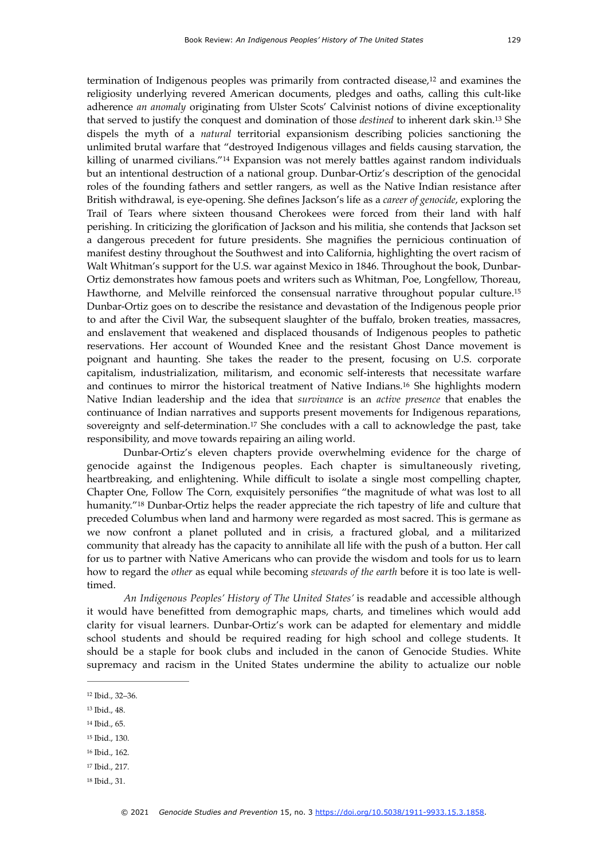<span id="page-3-9"></span><span id="page-3-8"></span><span id="page-3-7"></span>termination of Indigenous peoples was primarily from contracted disease, $12$  and examines the religiosity underlying revered American documents, pledges and oaths, calling this cult-like adherence *an anomaly* originating from Ulster Scots' Calvinist notions of divine exceptionality that served to justify the conquest and domination of those *destined* to inherent dark skin.<sup>[13](#page-3-1)</sup> She dispels the myth of a *natural* territorial expansionism describing policies sanctioning the unlimited brutal warfare that "destroyed Indigenous villages and fields causing starvation, the killing of unarmed civilians."<sup>[14](#page-3-2)</sup> Expansion was not merely battles against random individuals but an intentional destruction of a national group. Dunbar-Ortiz's description of the genocidal roles of the founding fathers and settler rangers*,* as well as the Native Indian resistance after British withdrawal, is eye-opening. She defines Jackson's life as a *career of genocide*, exploring the Trail of Tears where sixteen thousand Cherokees were forced from their land with half perishing. In criticizing the glorification of Jackson and his militia, she contends that Jackson set a dangerous precedent for future presidents. She magnifies the pernicious continuation of manifest destiny throughout the Southwest and into California, highlighting the overt racism of Walt Whitman's support for the U.S. war against Mexico in 1846. Throughout the book, Dunbar-Ortiz demonstrates how famous poets and writers such as Whitman, Poe, Longfellow, Thoreau, Hawthorne, and Melville reinforced the consensual narrative throughout popular culture.[15](#page-3-3) Dunbar-Ortiz goes on to describe the resistance and devastation of the Indigenous people prior to and after the Civil War, the subsequent slaughter of the buffalo, broken treaties, massacres, and enslavement that weakened and displaced thousands of Indigenous peoples to pathetic reservations. Her account of Wounded Knee and the resistant Ghost Dance movement is poignant and haunting. She takes the reader to the present, focusing on U.S. corporate capitalism, industrialization, militarism, and economic self-interests that necessitate warfare and continues to mirror the historical treatment of Native Indians.<sup>[16](#page-3-4)</sup> She highlights modern Native Indian leadership and the idea that *survivance* is an *active presence* that enables the continuance of Indian narratives and supports present movements for Indigenous reparations, sovereignty and self-determination.<sup>[17](#page-3-5)</sup> She concludes with a call to acknowledge the past, take responsibility, and move towards repairing an ailing world.

<span id="page-3-13"></span><span id="page-3-12"></span><span id="page-3-11"></span><span id="page-3-10"></span>Dunbar-Ortiz's eleven chapters provide overwhelming evidence for the charge of genocide against the Indigenous peoples. Each chapter is simultaneously riveting, heartbreaking, and enlightening. While difficult to isolate a single most compelling chapter, Chapter One, Follow The Corn*,* exquisitely personifies "the magnitude of what was lost to all humanity."<sup>[18](#page-3-6)</sup> Dunbar-Ortiz helps the reader appreciate the rich tapestry of life and culture that preceded Columbus when land and harmony were regarded as most sacred. This is germane as we now confront a planet polluted and in crisis, a fractured global, and a militarized community that already has the capacity to annihilate all life with the push of a button. Her call for us to partner with Native Americans who can provide the wisdom and tools for us to learn how to regard the *other* as equal while becoming *stewards of the earth* before it is too late is welltimed.

*An Indigenous Peoples' History of The United States'* is readable and accessible although it would have benefitted from demographic maps, charts, and timelines which would add clarity for visual learners. Dunbar-Ortiz's work can be adapted for elementary and middle school students and should be required reading for high school and college students. It should be a staple for book clubs and included in the canon of Genocide Studies. White supremacy and racism in the United States undermine the ability to actualize our noble

- <span id="page-3-1"></span><sup>[13](#page-3-8)</sup> Ibid., 48.
- <span id="page-3-2"></span><sup>[14](#page-3-9)</sup> Ibid., 65.
- <span id="page-3-3"></span><sup>[15](#page-3-10)</sup> Ibid., 130.
- <span id="page-3-4"></span><sup>[16](#page-3-11)</sup> Ibid., 162.
- <span id="page-3-5"></span><sup>[17](#page-3-12)</sup> Ibid., 217.
- <span id="page-3-6"></span><sup>[18](#page-3-13)</sup> Ibid., 31.

<span id="page-3-0"></span>[<sup>12</sup>](#page-3-7) Ibid., 32-36.